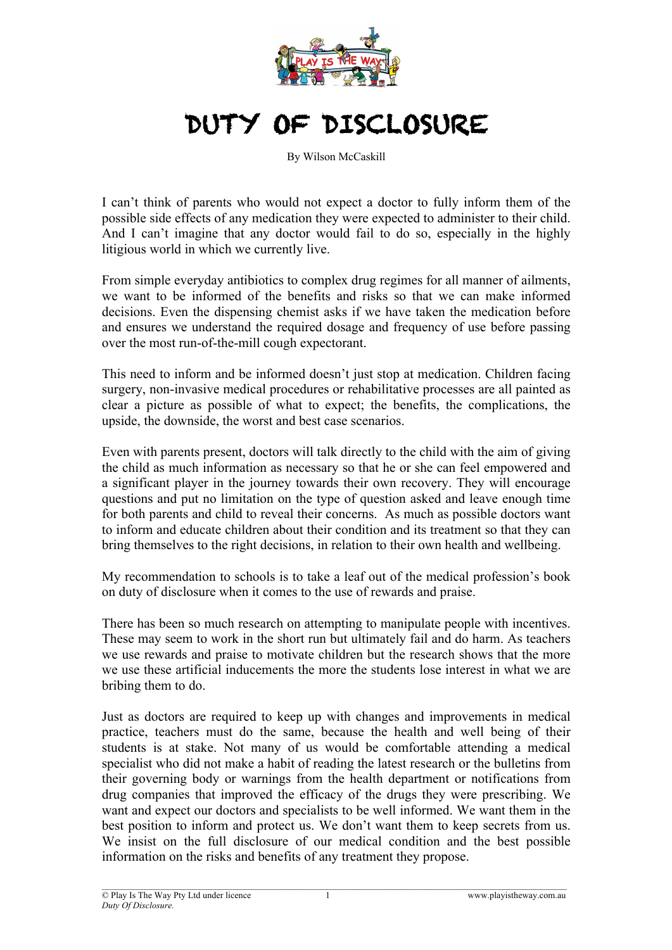

## DUTY OF DISCLOSURE

By Wilson McCaskill

I can't think of parents who would not expect a doctor to fully inform them of the possible side effects of any medication they were expected to administer to their child. And I can't imagine that any doctor would fail to do so, especially in the highly litigious world in which we currently live.

From simple everyday antibiotics to complex drug regimes for all manner of ailments, we want to be informed of the benefits and risks so that we can make informed decisions. Even the dispensing chemist asks if we have taken the medication before and ensures we understand the required dosage and frequency of use before passing over the most run-of-the-mill cough expectorant.

This need to inform and be informed doesn't just stop at medication. Children facing surgery, non-invasive medical procedures or rehabilitative processes are all painted as clear a picture as possible of what to expect; the benefits, the complications, the upside, the downside, the worst and best case scenarios.

Even with parents present, doctors will talk directly to the child with the aim of giving the child as much information as necessary so that he or she can feel empowered and a significant player in the journey towards their own recovery. They will encourage questions and put no limitation on the type of question asked and leave enough time for both parents and child to reveal their concerns. As much as possible doctors want to inform and educate children about their condition and its treatment so that they can bring themselves to the right decisions, in relation to their own health and wellbeing.

My recommendation to schools is to take a leaf out of the medical profession's book on duty of disclosure when it comes to the use of rewards and praise.

There has been so much research on attempting to manipulate people with incentives. These may seem to work in the short run but ultimately fail and do harm. As teachers we use rewards and praise to motivate children but the research shows that the more we use these artificial inducements the more the students lose interest in what we are bribing them to do.

Just as doctors are required to keep up with changes and improvements in medical practice, teachers must do the same, because the health and well being of their students is at stake. Not many of us would be comfortable attending a medical specialist who did not make a habit of reading the latest research or the bulletins from their governing body or warnings from the health department or notifications from drug companies that improved the efficacy of the drugs they were prescribing. We want and expect our doctors and specialists to be well informed. We want them in the best position to inform and protect us. We don't want them to keep secrets from us. We insist on the full disclosure of our medical condition and the best possible information on the risks and benefits of any treatment they propose.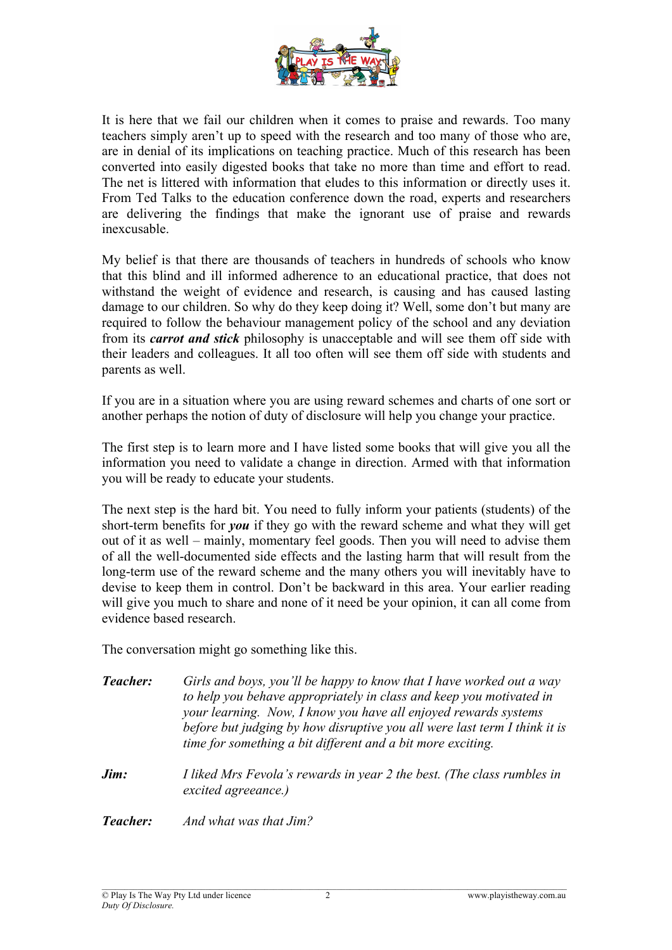

It is here that we fail our children when it comes to praise and rewards. Too many teachers simply aren't up to speed with the research and too many of those who are, are in denial of its implications on teaching practice. Much of this research has been converted into easily digested books that take no more than time and effort to read. The net is littered with information that eludes to this information or directly uses it. From Ted Talks to the education conference down the road, experts and researchers are delivering the findings that make the ignorant use of praise and rewards inexcusable.

My belief is that there are thousands of teachers in hundreds of schools who know that this blind and ill informed adherence to an educational practice, that does not withstand the weight of evidence and research, is causing and has caused lasting damage to our children. So why do they keep doing it? Well, some don't but many are required to follow the behaviour management policy of the school and any deviation from its *carrot and stick* philosophy is unacceptable and will see them off side with their leaders and colleagues. It all too often will see them off side with students and parents as well.

If you are in a situation where you are using reward schemes and charts of one sort or another perhaps the notion of duty of disclosure will help you change your practice.

The first step is to learn more and I have listed some books that will give you all the information you need to validate a change in direction. Armed with that information you will be ready to educate your students.

The next step is the hard bit. You need to fully inform your patients (students) of the short-term benefits for *you* if they go with the reward scheme and what they will get out of it as well – mainly, momentary feel goods. Then you will need to advise them of all the well-documented side effects and the lasting harm that will result from the long-term use of the reward scheme and the many others you will inevitably have to devise to keep them in control. Don't be backward in this area. Your earlier reading will give you much to share and none of it need be your opinion, it can all come from evidence based research.

The conversation might go something like this.

- *Teacher: Girls and boys, you'll be happy to know that I have worked out a way to help you behave appropriately in class and keep you motivated in your learning. Now, I know you have all enjoyed rewards systems before but judging by how disruptive you all were last term I think it is time for something a bit different and a bit more exciting.*
- *Jim: I liked Mrs Fevola's rewards in year 2 the best. (The class rumbles in excited agreeance.)*

*Teacher: And what was that Jim?*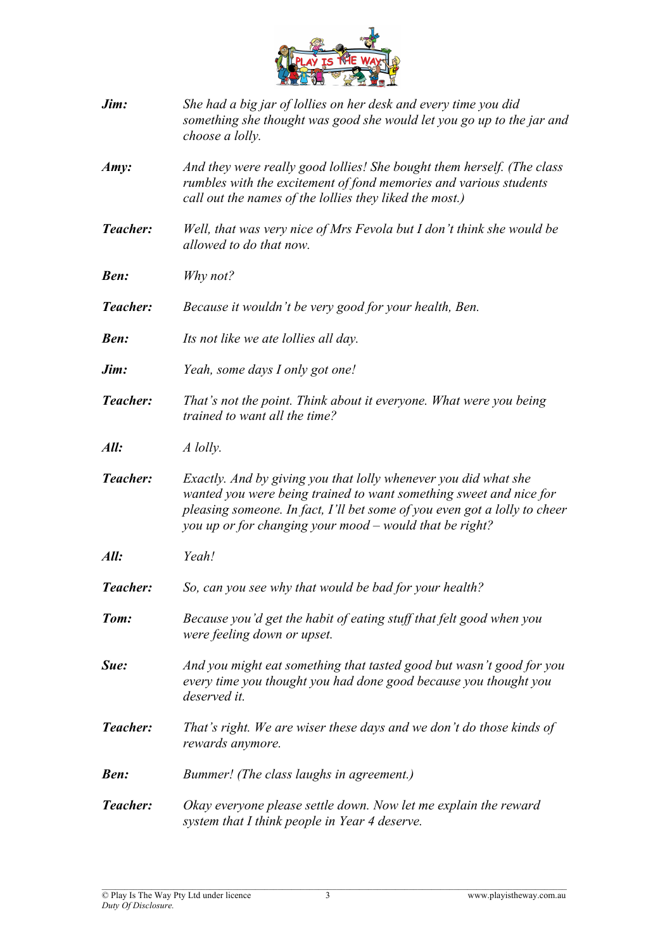

- *Jim: She had a big jar of lollies on her desk and every time you did something she thought was good she would let you go up to the jar and choose a lolly.*
- *Amy: And they were really good lollies! She bought them herself. (The class rumbles with the excitement of fond memories and various students call out the names of the lollies they liked the most.)*
- *Teacher: Well, that was very nice of Mrs Fevola but I don't think she would be allowed to do that now.*
- *Ben: Why not?*
- *Teacher: Because it wouldn't be very good for your health, Ben.*
- *Ben: Its not like we ate lollies all day.*
- *Jim: Yeah, some days I only got one!*
- *Teacher: That's not the point. Think about it everyone. What were you being trained to want all the time?*
- *All: A lolly.*
- *Teacher: Exactly. And by giving you that lolly whenever you did what she wanted you were being trained to want something sweet and nice for pleasing someone. In fact, I'll bet some of you even got a lolly to cheer you up or for changing your mood – would that be right?*
- *All: Yeah!*
- *Teacher: So, can you see why that would be bad for your health?*
- *Tom: Because you'd get the habit of eating stuff that felt good when you were feeling down or upset.*
- *Sue: And you might eat something that tasted good but wasn't good for you every time you thought you had done good because you thought you deserved it.*
- *Teacher: That's right. We are wiser these days and we don't do those kinds of rewards anymore.*
- *Ben: Bummer! (The class laughs in agreement.)*
- *Teacher: Okay everyone please settle down. Now let me explain the reward system that I think people in Year 4 deserve.*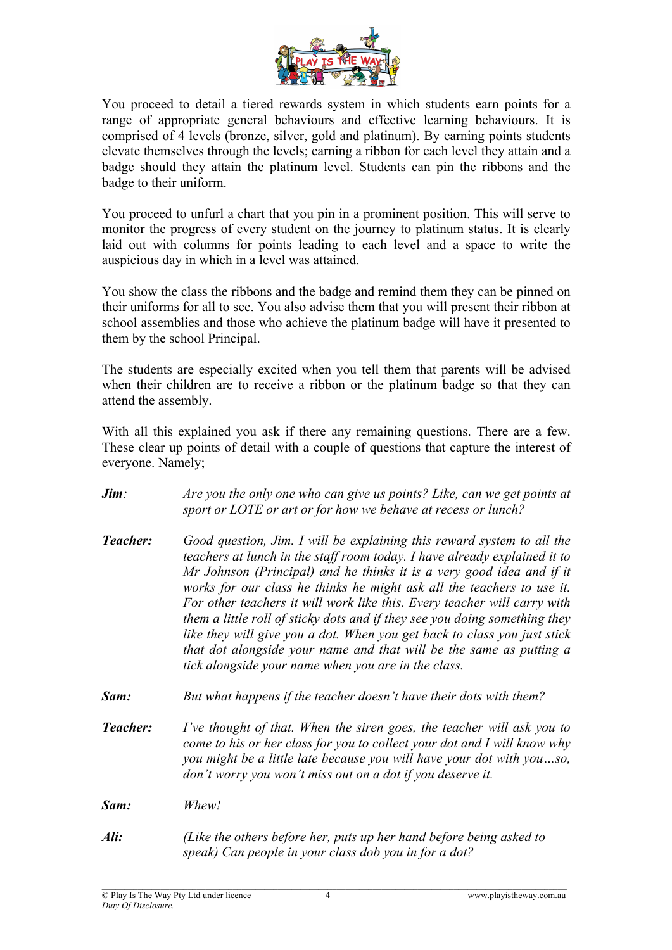

You proceed to detail a tiered rewards system in which students earn points for a range of appropriate general behaviours and effective learning behaviours. It is comprised of 4 levels (bronze, silver, gold and platinum). By earning points students elevate themselves through the levels; earning a ribbon for each level they attain and a badge should they attain the platinum level. Students can pin the ribbons and the badge to their uniform.

You proceed to unfurl a chart that you pin in a prominent position. This will serve to monitor the progress of every student on the journey to platinum status. It is clearly laid out with columns for points leading to each level and a space to write the auspicious day in which in a level was attained.

You show the class the ribbons and the badge and remind them they can be pinned on their uniforms for all to see. You also advise them that you will present their ribbon at school assemblies and those who achieve the platinum badge will have it presented to them by the school Principal.

The students are especially excited when you tell them that parents will be advised when their children are to receive a ribbon or the platinum badge so that they can attend the assembly.

With all this explained you ask if there any remaining questions. There are a few. These clear up points of detail with a couple of questions that capture the interest of everyone. Namely;

- *Jim: Are you the only one who can give us points? Like, can we get points at sport or LOTE or art or for how we behave at recess or lunch?*
- *Teacher: Good question, Jim. I will be explaining this reward system to all the teachers at lunch in the staff room today. I have already explained it to Mr Johnson (Principal) and he thinks it is a very good idea and if it works for our class he thinks he might ask all the teachers to use it. For other teachers it will work like this. Every teacher will carry with them a little roll of sticky dots and if they see you doing something they like they will give you a dot. When you get back to class you just stick that dot alongside your name and that will be the same as putting a tick alongside your name when you are in the class.*
- *Sam: But what happens if the teacher doesn't have their dots with them?*
- *Teacher: I've thought of that. When the siren goes, the teacher will ask you to come to his or her class for you to collect your dot and I will know why you might be a little late because you will have your dot with you…so, don't worry you won't miss out on a dot if you deserve it.*

*Sam: Whew!*

*Ali: (Like the others before her, puts up her hand before being asked to speak) Can people in your class dob you in for a dot?*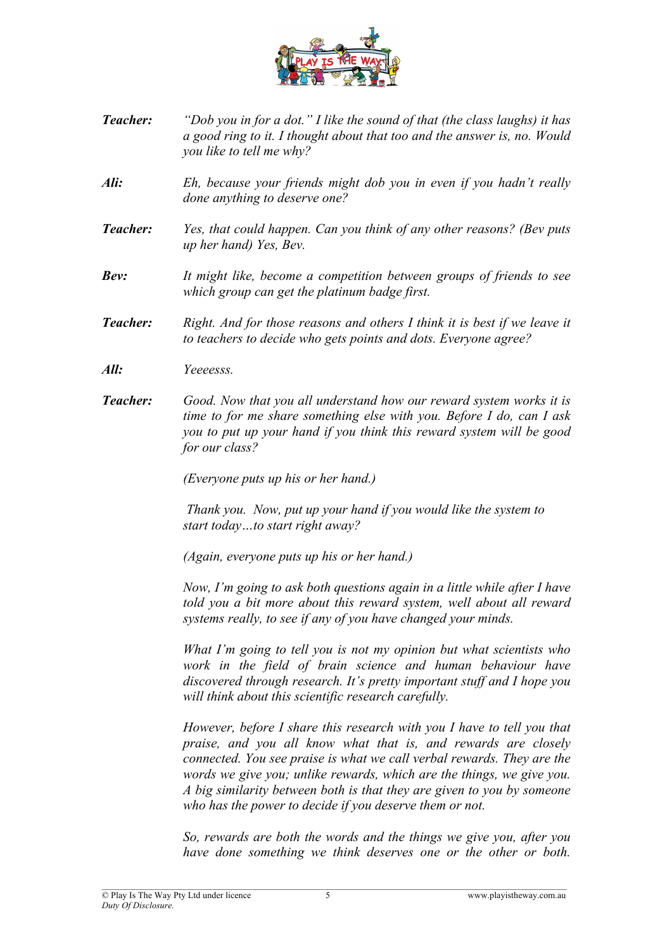

- *Teacher: "Dob you in for a dot." I like the sound of that (the class laughs) it has a good ring to it. I thought about that too and the answer is, no. Would you like to tell me why?*
- *Ali: Eh, because your friends might dob you in even if you hadn't really done anything to deserve one?*
- *Teacher: Yes, that could happen. Can you think of any other reasons? (Bev puts up her hand) Yes, Bev.*
- *Bev: It might like, become a competition between groups of friends to see which group can get the platinum badge first.*
- *Teacher: Right. And for those reasons and others I think it is best if we leave it to teachers to decide who gets points and dots. Everyone agree?*
- *All: Yeeeesss.*
- *Teacher: Good. Now that you all understand how our reward system works it is time to for me share something else with you. Before I do, can I ask you to put up your hand if you think this reward system will be good for our class?*

*(Everyone puts up his or her hand.)*

*Thank you. Now, put up your hand if you would like the system to start today…to start right away?*

*(Again, everyone puts up his or her hand.)* 

*Now, I'm going to ask both questions again in a little while after I have told you a bit more about this reward system, well about all reward systems really, to see if any of you have changed your minds.* 

*What I'm going to tell you is not my opinion but what scientists who work in the field of brain science and human behaviour have discovered through research. It's pretty important stuff and I hope you will think about this scientific research carefully.*

*However, before I share this research with you I have to tell you that praise, and you all know what that is, and rewards are closely connected. You see praise is what we call verbal rewards. They are the words we give you; unlike rewards, which are the things, we give you. A big similarity between both is that they are given to you by someone who has the power to decide if you deserve them or not.*

*So, rewards are both the words and the things we give you, after you have done something we think deserves one or the other or both.*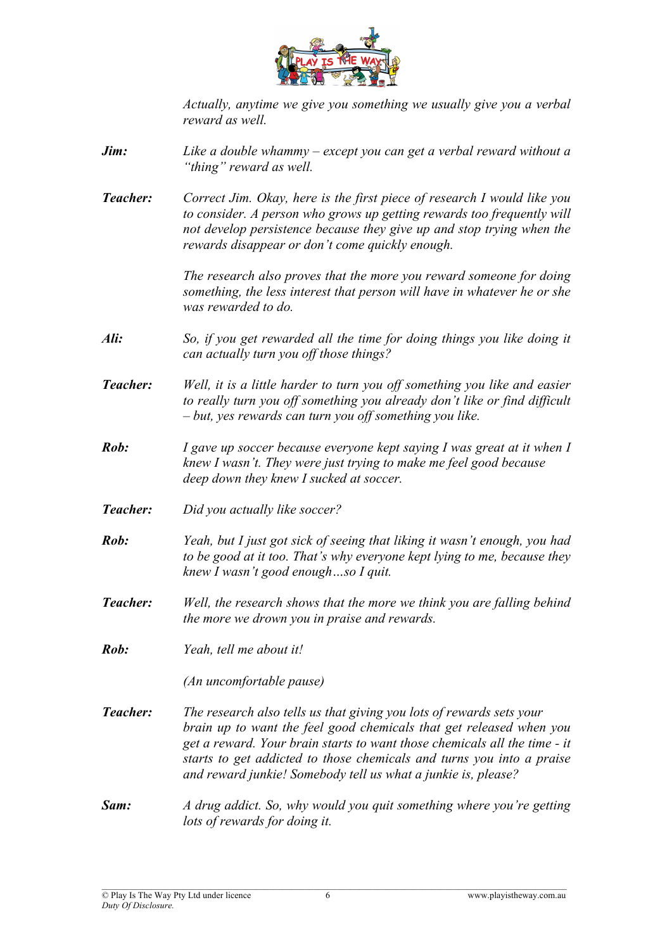

*Actually, anytime we give you something we usually give you a verbal reward as well.*

- *Jim: Like a double whammy – except you can get a verbal reward without a "thing" reward as well.*
- *Teacher: Correct Jim. Okay, here is the first piece of research I would like you to consider. A person who grows up getting rewards too frequently will not develop persistence because they give up and stop trying when the rewards disappear or don't come quickly enough.*

*The research also proves that the more you reward someone for doing something, the less interest that person will have in whatever he or she was rewarded to do.*

- *Ali: So, if you get rewarded all the time for doing things you like doing it can actually turn you off those things?*
- *Teacher: Well, it is a little harder to turn you off something you like and easier to really turn you off something you already don't like or find difficult – but, yes rewards can turn you off something you like.*
- *Rob: I gave up soccer because everyone kept saying I was great at it when I knew I wasn't. They were just trying to make me feel good because deep down they knew I sucked at soccer.*
- *Teacher: Did you actually like soccer?*
- *Rob: Yeah, but I just got sick of seeing that liking it wasn't enough, you had to be good at it too. That's why everyone kept lying to me, because they knew I wasn't good enough…so I quit.*
- *Teacher: Well, the research shows that the more we think you are falling behind the more we drown you in praise and rewards.*
- *Rob: Yeah, tell me about it!*

*(An uncomfortable pause)*

- *Teacher: The research also tells us that giving you lots of rewards sets your brain up to want the feel good chemicals that get released when you get a reward. Your brain starts to want those chemicals all the time - it starts to get addicted to those chemicals and turns you into a praise and reward junkie! Somebody tell us what a junkie is, please?*
- *Sam: A drug addict. So, why would you quit something where you're getting lots of rewards for doing it.*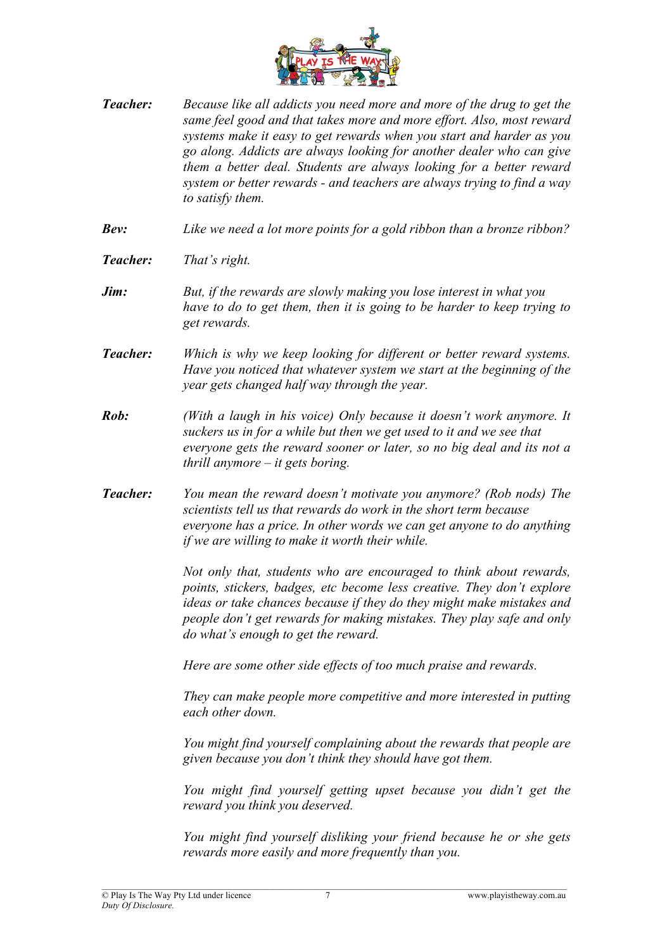

- *Teacher: Because like all addicts you need more and more of the drug to get the same feel good and that takes more and more effort. Also, most reward systems make it easy to get rewards when you start and harder as you go along. Addicts are always looking for another dealer who can give them a better deal. Students are always looking for a better reward system or better rewards - and teachers are always trying to find a way to satisfy them.*
- *Bev: Like we need a lot more points for a gold ribbon than a bronze ribbon?*
- *Teacher: That's right.*
- *Jim: But, if the rewards are slowly making you lose interest in what you have to do to get them, then it is going to be harder to keep trying to get rewards.*
- *Teacher: Which is why we keep looking for different or better reward systems. Have you noticed that whatever system we start at the beginning of the year gets changed half way through the year.*
- *Rob: (With a laugh in his voice) Only because it doesn't work anymore. It suckers us in for a while but then we get used to it and we see that everyone gets the reward sooner or later, so no big deal and its not a thrill anymore – it gets boring.*
- *Teacher: You mean the reward doesn't motivate you anymore? (Rob nods) The scientists tell us that rewards do work in the short term because everyone has a price. In other words we can get anyone to do anything if we are willing to make it worth their while.*

*Not only that, students who are encouraged to think about rewards, points, stickers, badges, etc become less creative. They don't explore ideas or take chances because if they do they might make mistakes and people don't get rewards for making mistakes. They play safe and only do what's enough to get the reward.*

*Here are some other side effects of too much praise and rewards.*

*They can make people more competitive and more interested in putting each other down.* 

*You might find yourself complaining about the rewards that people are given because you don't think they should have got them.* 

*You might find yourself getting upset because you didn't get the reward you think you deserved.* 

*You might find yourself disliking your friend because he or she gets rewards more easily and more frequently than you.*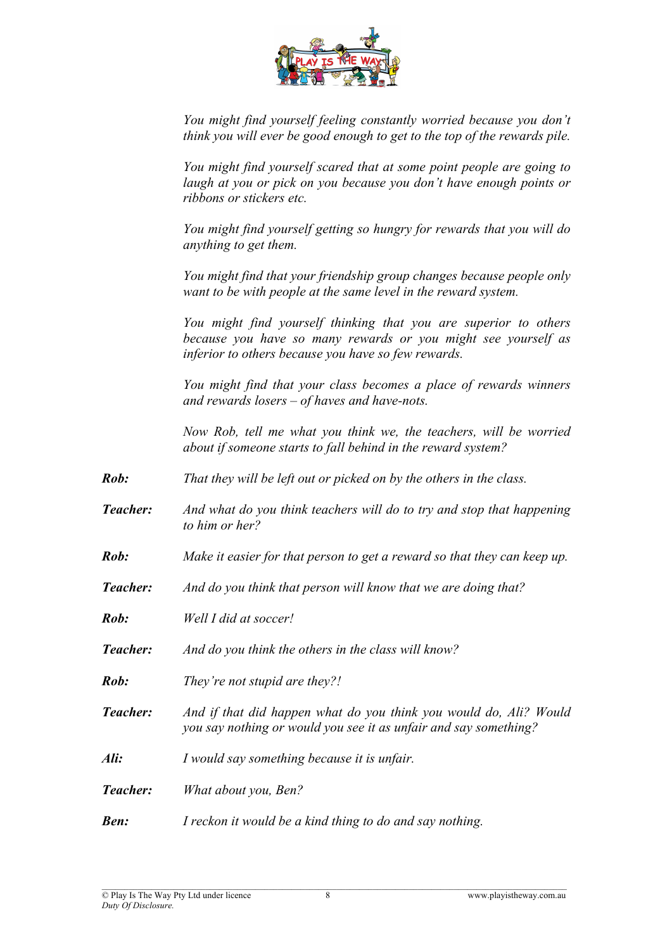

*You might find yourself feeling constantly worried because you don't think you will ever be good enough to get to the top of the rewards pile.* 

*You might find yourself scared that at some point people are going to laugh at you or pick on you because you don't have enough points or ribbons or stickers etc.* 

*You might find yourself getting so hungry for rewards that you will do anything to get them.* 

*You might find that your friendship group changes because people only want to be with people at the same level in the reward system.* 

*You might find yourself thinking that you are superior to others because you have so many rewards or you might see yourself as inferior to others because you have so few rewards.* 

*You might find that your class becomes a place of rewards winners and rewards losers – of haves and have-nots.*

*Now Rob, tell me what you think we, the teachers, will be worried about if someone starts to fall behind in the reward system?* 

- *Rob: That they will be left out or picked on by the others in the class.*
- *Teacher: And what do you think teachers will do to try and stop that happening to him or her?*
- *Rob: Make it easier for that person to get a reward so that they can keep up.*
- *Teacher: And do you think that person will know that we are doing that?*
- *Rob: Well I did at soccer!*
- *Teacher: And do you think the others in the class will know?*
- *Rob: They're not stupid are they?!*
- *Teacher: And if that did happen what do you think you would do, Ali? Would you say nothing or would you see it as unfair and say something?*
- *Ali: I would say something because it is unfair.*
- *Teacher: What about you, Ben?*
- *Ben: I reckon it would be a kind thing to do and say nothing.*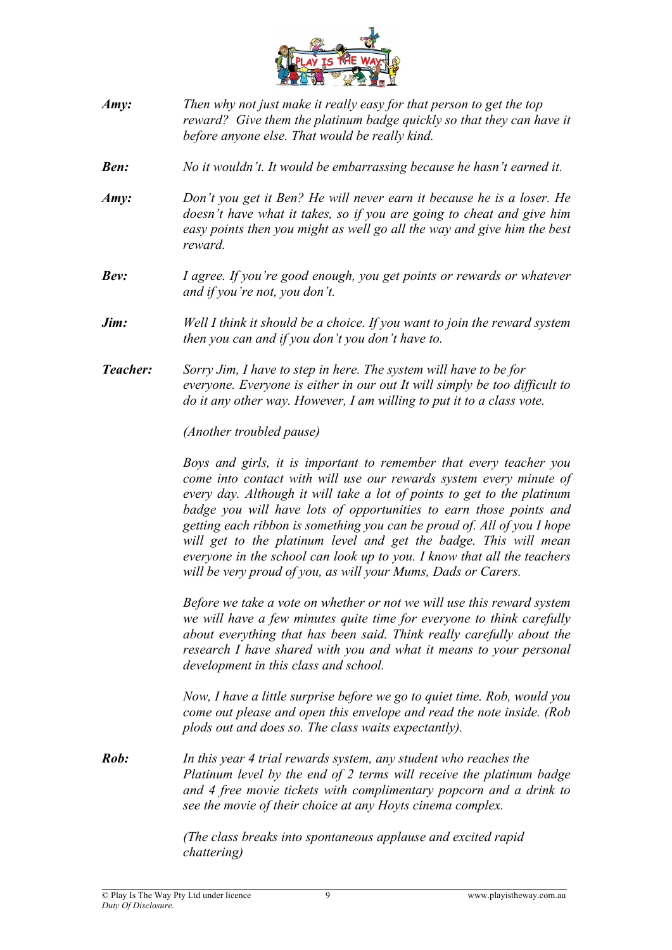

- *Amy: Then why not just make it really easy for that person to get the top reward? Give them the platinum badge quickly so that they can have it before anyone else. That would be really kind.*
- *Ben: No it wouldn't. It would be embarrassing because he hasn't earned it.*
- *Amy: Don't you get it Ben? He will never earn it because he is a loser. He doesn't have what it takes, so if you are going to cheat and give him easy points then you might as well go all the way and give him the best reward.*
- *Bev: I agree. If you're good enough, you get points or rewards or whatever and if you're not, you don't.*
- *Jim: Well I think it should be a choice. If you want to join the reward system then you can and if you don't you don't have to.*
- *Teacher: Sorry Jim, I have to step in here. The system will have to be for everyone. Everyone is either in our out It will simply be too difficult to do it any other way. However, I am willing to put it to a class vote.*

*(Another troubled pause)*

*Boys and girls, it is important to remember that every teacher you come into contact with will use our rewards system every minute of every day. Although it will take a lot of points to get to the platinum badge you will have lots of opportunities to earn those points and getting each ribbon is something you can be proud of. All of you I hope will get to the platinum level and get the badge. This will mean everyone in the school can look up to you. I know that all the teachers will be very proud of you, as will your Mums, Dads or Carers.* 

*Before we take a vote on whether or not we will use this reward system we will have a few minutes quite time for everyone to think carefully about everything that has been said. Think really carefully about the research I have shared with you and what it means to your personal development in this class and school.* 

*Now, I have a little surprise before we go to quiet time. Rob, would you come out please and open this envelope and read the note inside. (Rob plods out and does so. The class waits expectantly).*

*Rob: In this year 4 trial rewards system, any student who reaches the Platinum level by the end of 2 terms will receive the platinum badge and 4 free movie tickets with complimentary popcorn and a drink to see the movie of their choice at any Hoyts cinema complex.*

> *(The class breaks into spontaneous applause and excited rapid chattering)*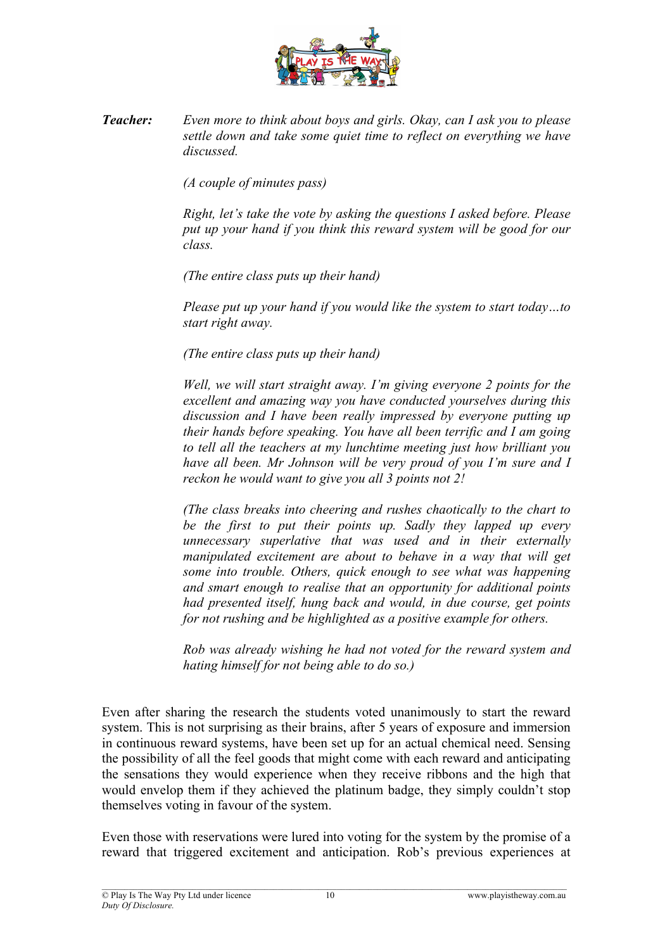

*Teacher: Even more to think about boys and girls. Okay, can I ask you to please settle down and take some quiet time to reflect on everything we have discussed.*

*(A couple of minutes pass)*

*Right, let's take the vote by asking the questions I asked before. Please put up your hand if you think this reward system will be good for our class.*

*(The entire class puts up their hand)*

*Please put up your hand if you would like the system to start today…to start right away.* 

*(The entire class puts up their hand)*

*Well, we will start straight away. I'm giving everyone 2 points for the excellent and amazing way you have conducted yourselves during this discussion and I have been really impressed by everyone putting up their hands before speaking. You have all been terrific and I am going to tell all the teachers at my lunchtime meeting just how brilliant you have all been. Mr Johnson will be very proud of you I'm sure and I reckon he would want to give you all 3 points not 2!*

*(The class breaks into cheering and rushes chaotically to the chart to be the first to put their points up. Sadly they lapped up every unnecessary superlative that was used and in their externally manipulated excitement are about to behave in a way that will get some into trouble. Others, quick enough to see what was happening and smart enough to realise that an opportunity for additional points had presented itself, hung back and would, in due course, get points for not rushing and be highlighted as a positive example for others.*

*Rob was already wishing he had not voted for the reward system and hating himself for not being able to do so.)* 

Even after sharing the research the students voted unanimously to start the reward system. This is not surprising as their brains, after 5 years of exposure and immersion in continuous reward systems, have been set up for an actual chemical need. Sensing the possibility of all the feel goods that might come with each reward and anticipating the sensations they would experience when they receive ribbons and the high that would envelop them if they achieved the platinum badge, they simply couldn't stop themselves voting in favour of the system.

Even those with reservations were lured into voting for the system by the promise of a reward that triggered excitement and anticipation. Rob's previous experiences at